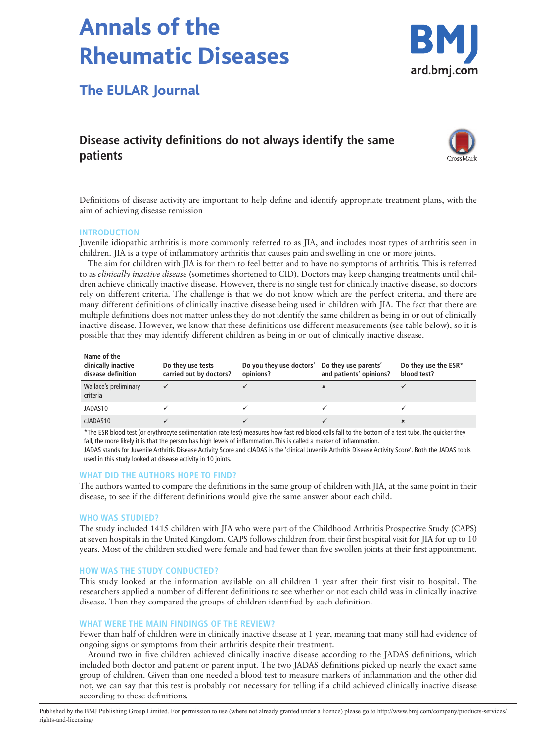# **Annals of the Rheumatic Diseases**



## **The EULAR Journal**

### **Disease activity definitions do not always identify the same patients**



Definitions of disease activity are important to help define and identify appropriate treatment plans, with the aim of achieving disease remission

#### **INTRODUCTION**

Juvenile idiopathic arthritis is more commonly referred to as JIA, and includes most types of arthritis seen in children. JIA is a type of inflammatory arthritis that causes pain and swelling in one or more joints.

The aim for children with JIA is for them to feel better and to have no symptoms of arthritis. This is referred to as *clinically inactive disease* (sometimes shortened to CID). Doctors may keep changing treatments until children achieve clinically inactive disease. However, there is no single test for clinically inactive disease, so doctors rely on different criteria. The challenge is that we do not know which are the perfect criteria, and there are many different definitions of clinically inactive disease being used in children with JIA. The fact that there are multiple definitions does not matter unless they do not identify the same children as being in or out of clinically inactive disease. However, we know that these definitions use different measurements (see table below), so it is possible that they may identify different children as being in or out of clinically inactive disease.

| Name of the<br>clinically inactive<br>disease definition | Do they use tests<br>carried out by doctors? | Do you they use doctors' Do they use parents'<br>opinions? | and patients' opinions? | Do they use the ESR*<br>blood test? |
|----------------------------------------------------------|----------------------------------------------|------------------------------------------------------------|-------------------------|-------------------------------------|
| Wallace's preliminary<br>criteria                        |                                              |                                                            | ×                       |                                     |
| JADAS10                                                  |                                              |                                                            |                         |                                     |
| clADAS10                                                 |                                              |                                                            |                         |                                     |

\*The ESR blood test (or erythrocyte sedimentation rate test) measures how fast red blood cells fall to the bottom of a test tube. The quicker they fall, the more likely it is that the person has high levels of inflammation. This is called a marker of inflammation.

JADAS stands for Juvenile Arthritis Disease Activity Score and cJADAS is the 'clinical Juvenile Arthritis Disease Activity Score'. Both the JADAS tools used in this study looked at disease activity in 10 joints.

#### **WHAT DID THE AUTHORS HOPE TO FIND?**

The authors wanted to compare the definitions in the same group of children with JIA, at the same point in their disease, to see if the different definitions would give the same answer about each child.

#### **WHO WAS STUDIED?**

The study included 1415 children with JIA who were part of the Childhood Arthritis Prospective Study (CAPS) at seven hospitals in the United Kingdom. CAPS follows children from their first hospital visit for JIA for up to 10 years. Most of the children studied were female and had fewer than five swollen joints at their first appointment.

#### **HOW WAS THE STUDY CONDUCTED?**

This study looked at the information available on all children 1 year after their first visit to hospital. The researchers applied a number of different definitions to see whether or not each child was in clinically inactive disease. Then they compared the groups of children identified by each definition.

#### **WHAT WERE THE MAIN FINDINGS OF THE REVIEW?**

Fewer than half of children were in clinically inactive disease at 1 year, meaning that many still had evidence of ongoing signs or symptoms from their arthritis despite their treatment.

Around two in five children achieved clinically inactive disease according to the JADAS definitions, which included both doctor and patient or parent input. The two JADAS definitions picked up nearly the exact same group of children. Given than one needed a blood test to measure markers of inflammation and the other did not, we can say that this test is probably not necessary for telling if a child achieved clinically inactive disease according to these definitions.

Published by the BMJ Publishing Group Limited. For permission to use (where not already granted under a licence) please go to http://www.bmj.com/company/products-services/ rights-and-licensing/